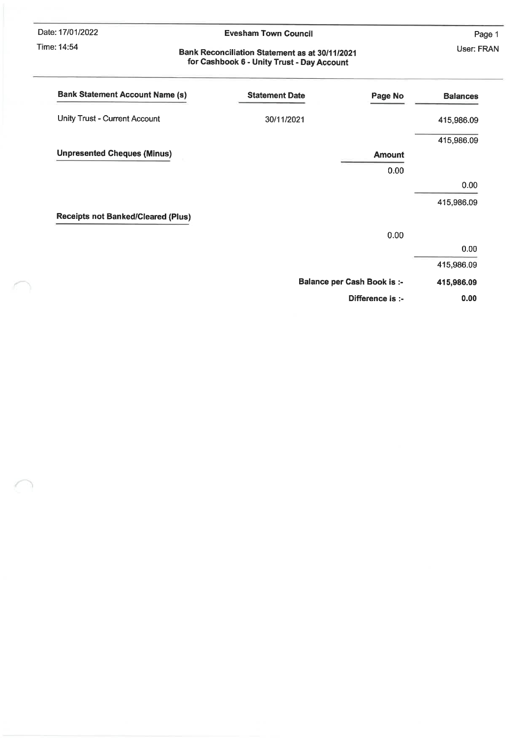Date: 17/01/2022

Time: 14:54

#### **Evesham Town Council**

Page 1 User: FRAN

#### **Bank Reconciliation Statement as at 30/11/2021** for Cashbook 6 - Unity Trust - Day Account

| <b>Bank Statement Account Name (s)</b>    | <b>Statement Date</b> | Page No                            | <b>Balances</b> |
|-------------------------------------------|-----------------------|------------------------------------|-----------------|
| <b>Unity Trust - Current Account</b>      | 30/11/2021            |                                    | 415,986.09      |
|                                           |                       |                                    | 415,986.09      |
| <b>Unpresented Cheques (Minus)</b>        |                       | <b>Amount</b>                      |                 |
|                                           |                       | 0.00                               |                 |
|                                           |                       |                                    | 0.00            |
|                                           |                       |                                    | 415,986.09      |
| <b>Receipts not Banked/Cleared (Plus)</b> |                       |                                    |                 |
|                                           |                       | 0.00                               |                 |
|                                           |                       |                                    | 0.00            |
|                                           |                       |                                    | 415,986.09      |
|                                           |                       | <b>Balance per Cash Book is :-</b> | 415,986.09      |
|                                           |                       | Difference is :-                   | 0.00            |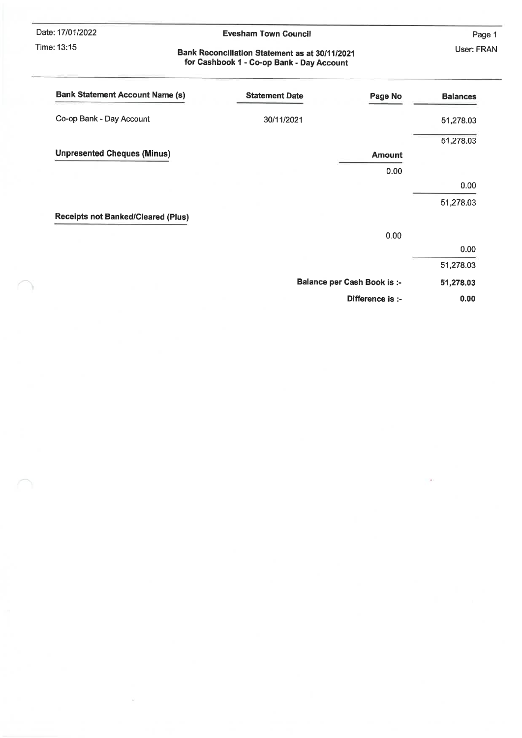Date: 17/01/2022 Time: 13:15

Ĩ.

 $\tilde{\omega}$ 

#### **Evesham Town Council**

Page 1 User: FRAN

# Bank Reconciliation Statement as at 30/11/2021<br>for Cashbook 1 - Co-op Bank - Day Account

| <b>Bank Statement Account Name (s)</b>    | <b>Statement Date</b><br>Page No   | <b>Balances</b> |
|-------------------------------------------|------------------------------------|-----------------|
| Co-op Bank - Day Account                  | 30/11/2021                         | 51,278.03       |
|                                           |                                    | 51,278.03       |
| <b>Unpresented Cheques (Minus)</b>        | <b>Amount</b>                      |                 |
|                                           | 0.00                               |                 |
|                                           |                                    | 0.00            |
|                                           |                                    | 51,278.03       |
| <b>Receipts not Banked/Cleared (Plus)</b> |                                    |                 |
|                                           | 0.00                               |                 |
|                                           |                                    | 0.00            |
|                                           |                                    | 51,278.03       |
|                                           | <b>Balance per Cash Book is :-</b> | 51,278.03       |
|                                           | Difference is :-                   | 0.00            |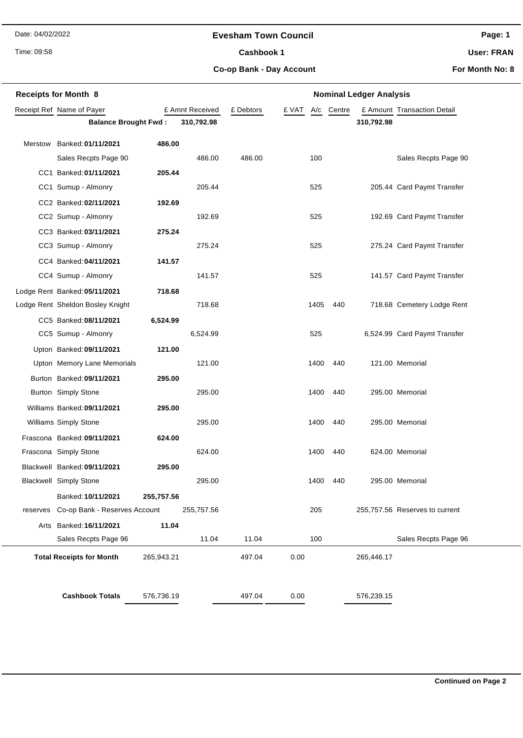#### **Evesham Town Council**

Time: 09:58

Cashbook 1

**Page: 1**

**User: FRAN**

**Co-op Bank - Day Account**

|          | <b>Receipts for Month 8</b>      |            |                 | <b>Nominal Ledger Analysis</b> |       |      |        |            |                                |  |
|----------|----------------------------------|------------|-----------------|--------------------------------|-------|------|--------|------------|--------------------------------|--|
|          | Receipt Ref Name of Payer        |            | £ Amnt Received | £ Debtors                      | £ VAT | A/c  | Centre |            | £ Amount Transaction Detail    |  |
|          | <b>Balance Brought Fwd:</b>      |            | 310,792.98      |                                |       |      |        | 310,792.98 |                                |  |
|          | Merstow Banked: 01/11/2021       | 486.00     |                 |                                |       |      |        |            |                                |  |
|          | Sales Recpts Page 90             |            | 486.00          | 486.00                         |       | 100  |        |            | Sales Recpts Page 90           |  |
|          | CC1 Banked: 01/11/2021           | 205.44     |                 |                                |       |      |        |            |                                |  |
|          | CC1 Sumup - Almonry              |            | 205.44          |                                |       | 525  |        |            | 205.44 Card Paymt Transfer     |  |
|          | CC2 Banked: 02/11/2021           | 192.69     |                 |                                |       |      |        |            |                                |  |
|          | CC2 Sumup - Almonry              |            | 192.69          |                                |       | 525  |        |            | 192.69 Card Paymt Transfer     |  |
|          | CC3 Banked: 03/11/2021           | 275.24     |                 |                                |       |      |        |            |                                |  |
|          | CC3 Sumup - Almonry              |            | 275.24          |                                |       | 525  |        |            | 275.24 Card Paymt Transfer     |  |
|          | CC4 Banked: 04/11/2021           | 141.57     |                 |                                |       |      |        |            |                                |  |
|          | CC4 Sumup - Almonry              |            | 141.57          |                                |       | 525  |        |            | 141.57 Card Paymt Transfer     |  |
|          | Lodge Rent Banked: 05/11/2021    | 718.68     |                 |                                |       |      |        |            |                                |  |
|          | Lodge Rent Sheldon Bosley Knight |            | 718.68          |                                |       | 1405 | 440    |            | 718.68 Cemetery Lodge Rent     |  |
|          | CC5 Banked: 08/11/2021           | 6,524.99   |                 |                                |       |      |        |            |                                |  |
|          | CC5 Sumup - Almonry              |            | 6,524.99        |                                |       | 525  |        |            | 6,524.99 Card Paymt Transfer   |  |
|          | Upton Banked: 09/11/2021         | 121.00     |                 |                                |       |      |        |            |                                |  |
|          | Upton Memory Lane Memorials      |            | 121.00          |                                |       | 1400 | 440    |            | 121.00 Memorial                |  |
|          | Burton Banked: 09/11/2021        | 295.00     |                 |                                |       |      |        |            |                                |  |
|          | Burton Simply Stone              |            | 295.00          |                                |       | 1400 | 440    |            | 295.00 Memorial                |  |
|          | Williams Banked: 09/11/2021      | 295.00     |                 |                                |       |      |        |            |                                |  |
|          | Williams Simply Stone            |            | 295.00          |                                |       | 1400 | 440    |            | 295.00 Memorial                |  |
|          | Frascona Banked: 09/11/2021      | 624.00     |                 |                                |       |      |        |            |                                |  |
|          | Frascona Simply Stone            |            | 624.00          |                                |       | 1400 | 440    |            | 624.00 Memorial                |  |
|          | Blackwell Banked: 09/11/2021     | 295.00     |                 |                                |       |      |        |            |                                |  |
|          | <b>Blackwell Simply Stone</b>    |            | 295.00          |                                |       | 1400 | 440    |            | 295.00 Memorial                |  |
|          | Banked: 10/11/2021               | 255,757.56 |                 |                                |       |      |        |            |                                |  |
| reserves | Co-op Bank - Reserves Account    |            | 255,757.56      |                                |       | 205  |        |            | 255,757.56 Reserves to current |  |
|          | Arts Banked: 16/11/2021          | 11.04      |                 |                                |       |      |        |            |                                |  |
|          | Sales Recpts Page 96             |            | 11.04           | 11.04                          |       | 100  |        |            | Sales Recpts Page 96           |  |
|          | <b>Total Receipts for Month</b>  | 265,943.21 |                 | 497.04                         | 0.00  |      |        | 265,446.17 |                                |  |
|          |                                  |            |                 |                                |       |      |        |            |                                |  |
|          | <b>Cashbook Totals</b>           | 576,736.19 |                 | 497.04                         | 0.00  |      |        | 576,239.15 |                                |  |
|          |                                  |            |                 |                                |       |      |        |            |                                |  |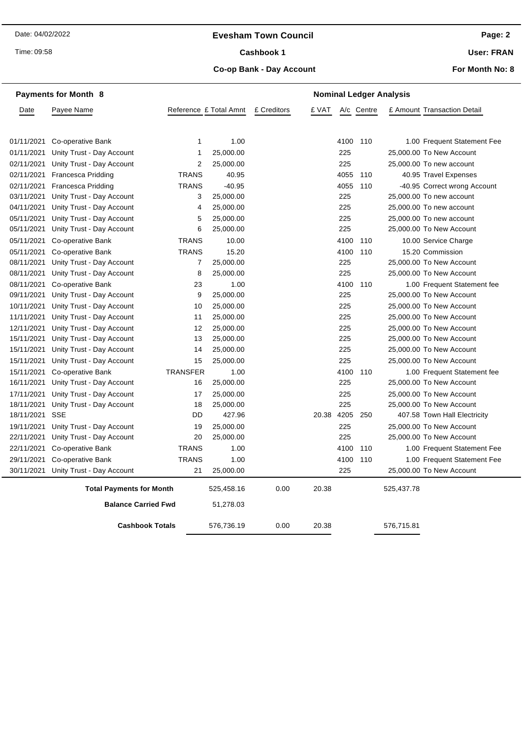#### **Evesham Town Council**

Time: 09:58

#### Cashbook 1

**Co-op Bank - Day Account**

**User: FRAN**

|                        | <b>Payments for Month 8</b>     |                        | <b>Nominal Ledger Analysis</b> |             |            |      |            |            |                              |
|------------------------|---------------------------------|------------------------|--------------------------------|-------------|------------|------|------------|------------|------------------------------|
| Date                   | Payee Name                      | Reference £ Total Amnt |                                | £ Creditors | £ VAT      |      | A/c Centre |            | £ Amount Transaction Detail  |
|                        |                                 |                        |                                |             |            |      |            |            |                              |
| 01/11/2021             | Co-operative Bank               | 1                      | 1.00                           |             |            | 4100 | 110        |            | 1.00 Frequent Statement Fee  |
| 01/11/2021             | Unity Trust - Day Account       | 1                      | 25,000.00                      |             |            | 225  |            |            | 25,000.00 To New Account     |
| 02/11/2021             | Unity Trust - Day Account       | $\overline{2}$         | 25,000.00                      |             |            | 225  |            |            | 25,000.00 To new account     |
| 02/11/2021             | <b>Francesca Pridding</b>       | <b>TRANS</b>           | 40.95                          |             |            | 4055 | 110        |            | 40.95 Travel Expenses        |
| 02/11/2021             | <b>Francesca Pridding</b>       | <b>TRANS</b>           | $-40.95$                       |             |            | 4055 | 110        |            | -40.95 Correct wrong Account |
| 03/11/2021             | Unity Trust - Day Account       | 3                      | 25,000.00                      |             |            | 225  |            |            | 25,000.00 To new account     |
| 04/11/2021             | Unity Trust - Day Account       | 4                      | 25,000.00                      |             |            | 225  |            |            | 25,000.00 To new account     |
| 05/11/2021             | Unity Trust - Day Account       | 5                      | 25,000.00                      |             |            | 225  |            |            | 25,000.00 To new account     |
| 05/11/2021             | Unity Trust - Day Account       | 6                      | 25,000.00                      |             |            | 225  |            |            | 25,000.00 To New Account     |
| 05/11/2021             | Co-operative Bank               | <b>TRANS</b>           | 10.00                          |             |            | 4100 | 110        |            | 10.00 Service Charge         |
| 05/11/2021             | Co-operative Bank               | <b>TRANS</b>           | 15.20                          |             |            | 4100 | 110        |            | 15.20 Commission             |
| 08/11/2021             | Unity Trust - Day Account       | 7                      | 25,000.00                      |             |            | 225  |            |            | 25,000.00 To New Account     |
| 08/11/2021             | Unity Trust - Day Account       | 8                      | 25,000.00                      |             |            | 225  |            |            | 25,000.00 To New Account     |
| 08/11/2021             | Co-operative Bank               | 23                     | 1.00                           |             |            | 4100 | 110        |            | 1.00 Frequent Statement fee  |
| 09/11/2021             | Unity Trust - Day Account       | 9                      | 25,000.00                      |             |            | 225  |            |            | 25,000.00 To New Account     |
| 10/11/2021             | Unity Trust - Day Account       | 10                     | 25,000.00                      |             |            | 225  |            |            | 25,000.00 To New Account     |
| 11/11/2021             | Unity Trust - Day Account       | 11                     | 25,000.00                      |             |            | 225  |            |            | 25,000.00 To New Account     |
| 12/11/2021             | Unity Trust - Day Account       | 12                     | 25,000.00                      |             |            | 225  |            |            | 25,000.00 To New Account     |
| 15/11/2021             | Unity Trust - Day Account       | 13                     | 25,000.00                      |             |            | 225  |            |            | 25,000.00 To New Account     |
| 15/11/2021             | Unity Trust - Day Account       | 14                     | 25,000.00                      |             |            | 225  |            |            | 25,000.00 To New Account     |
| 15/11/2021             | Unity Trust - Day Account       | 15                     | 25,000.00                      |             |            | 225  |            |            | 25,000.00 To New Account     |
| 15/11/2021             | Co-operative Bank               | <b>TRANSFER</b>        | 1.00                           |             |            | 4100 | 110        |            | 1.00 Frequent Statement fee  |
| 16/11/2021             | Unity Trust - Day Account       | 16                     | 25,000.00                      |             |            | 225  |            |            | 25,000.00 To New Account     |
| 17/11/2021             | Unity Trust - Day Account       | 17                     | 25,000.00                      |             |            | 225  |            |            | 25,000.00 To New Account     |
| 18/11/2021             | Unity Trust - Day Account       | 18                     | 25,000.00                      |             |            | 225  |            |            | 25,000.00 To New Account     |
| 18/11/2021             | <b>SSE</b>                      | DD                     | 427.96                         |             | 20.38 4205 |      | 250        |            | 407.58 Town Hall Electricity |
| 19/11/2021             | Unity Trust - Day Account       | 19                     | 25,000.00                      |             |            | 225  |            |            | 25,000.00 To New Account     |
| 22/11/2021             | Unity Trust - Day Account       | 20                     | 25,000.00                      |             |            | 225  |            |            | 25,000.00 To New Account     |
| 22/11/2021             | Co-operative Bank               | <b>TRANS</b>           | 1.00                           |             |            | 4100 | 110        |            | 1.00 Frequent Statement Fee  |
| 29/11/2021             | Co-operative Bank               | <b>TRANS</b>           | 1.00                           |             |            | 4100 | 110        |            | 1.00 Frequent Statement Fee  |
| 30/11/2021             | Unity Trust - Day Account       | 21                     | 25,000.00                      |             |            | 225  |            |            | 25,000.00 To New Account     |
|                        | <b>Total Payments for Month</b> |                        | 525,458.16                     | 0.00        | 20.38      |      |            | 525,437.78 |                              |
|                        | <b>Balance Carried Fwd</b>      |                        | 51,278.03                      |             |            |      |            |            |                              |
| <b>Cashbook Totals</b> |                                 |                        | 576,736.19                     | 0.00        | 20.38      |      |            | 576,715.81 |                              |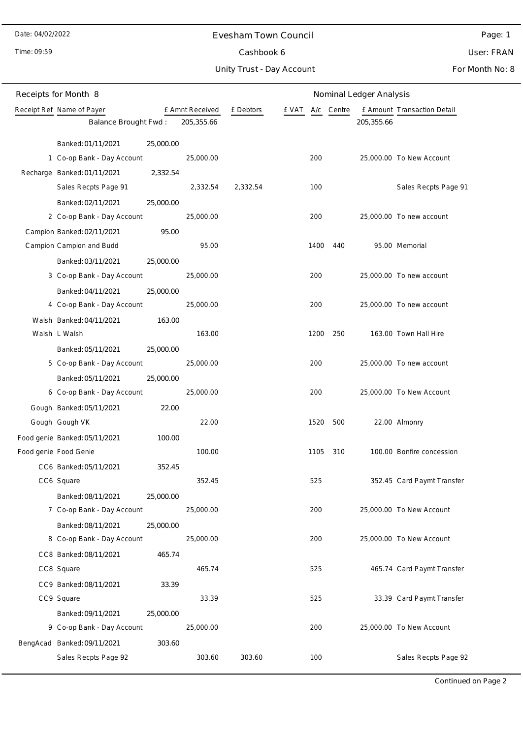Time: 09:59

#### Evesham Town Council

User: FRAN

Unity Trust - Day Account Cashbook 6

For Month No: 8

Page: 1

| Receipts for Month 8                             |           |                 |           |       |      |        | Nominal Ledger Analysis |                             |
|--------------------------------------------------|-----------|-----------------|-----------|-------|------|--------|-------------------------|-----------------------------|
| Receipt Ref Name of Payer                        |           | £ Amnt Received | £ Debtors | e vat | A/c  | Centre |                         | £ Amount Transaction Detail |
| Balance Brought Fwd:                             |           | 205,355.66      |           |       |      |        | 205,355.66              |                             |
| Banked: 01/11/2021                               | 25,000.00 |                 |           |       |      |        |                         |                             |
| 1 Co-op Bank - Day Account                       |           | 25,000.00       |           |       | 200  |        |                         | 25,000.00 To New Account    |
| Recharge Banked: 01/11/2021                      | 2,332.54  |                 |           |       |      |        |                         |                             |
| Sales Recpts Page 91                             |           | 2,332.54        | 2,332.54  |       | 100  |        |                         | Sales Recpts Page 91        |
| Banked: 02/11/2021                               | 25,000.00 |                 |           |       |      |        |                         |                             |
| 2 Co-op Bank - Day Account                       |           | 25,000.00       |           |       | 200  |        |                         | 25,000.00 To new account    |
| Campion Banked: 02/11/2021                       | 95.00     |                 |           |       |      |        |                         |                             |
| Campion Campion and Budd                         |           | 95.00           |           |       | 1400 | 440    |                         | 95.00 Memorial              |
| Banked: 03/11/2021                               | 25,000.00 |                 |           |       |      |        |                         |                             |
| 3 Co-op Bank - Day Account                       |           | 25,000.00       |           |       | 200  |        |                         | 25,000.00 To new account    |
| Banked: 04/11/2021                               | 25,000.00 |                 |           |       |      |        |                         |                             |
| 4 Co-op Bank - Day Account                       |           | 25,000.00       |           |       | 200  |        |                         | 25,000.00 To new account    |
| Walsh Banked: 04/11/2021                         | 163.00    |                 |           |       |      |        |                         |                             |
| Walsh L Walsh                                    |           | 163.00          |           |       | 1200 | 250    |                         | 163.00 Town Hall Hire       |
| Banked: 05/11/2021                               | 25,000.00 |                 |           |       |      |        |                         |                             |
| 5 Co-op Bank - Day Account                       |           | 25,000.00       |           |       | 200  |        |                         | 25,000.00 To new account    |
| Banked: 05/11/2021                               | 25,000.00 |                 |           |       |      |        |                         |                             |
| 6 Co-op Bank - Day Account                       |           | 25,000.00       |           |       | 200  |        |                         | 25,000.00 To New Account    |
| Gough Banked: 05/11/2021                         | 22.00     |                 |           |       |      |        |                         |                             |
| Gough Gough VK                                   |           | 22.00           |           |       | 1520 | 500    |                         | 22.00 Almonry               |
| Food genie Banked: 05/11/2021                    | 100.00    |                 |           |       |      |        |                         |                             |
| Food genie Food Genie                            |           | 100.00          |           |       | 1105 | 310    |                         | 100.00 Bonfire concession   |
| CC6 Banked: 05/11/2021                           | 352.45    |                 |           |       |      |        |                         |                             |
| CC6 Square                                       |           | 352.45          |           |       | 525  |        |                         | 352.45 Card Paymt Transfer  |
| Banked: 08/11/2021                               | 25,000.00 |                 |           |       | 200  |        |                         | 25,000.00 To New Account    |
| 7 Co-op Bank - Day Account                       |           | 25,000.00       |           |       |      |        |                         |                             |
| Banked: 08/11/2021<br>8 Co-op Bank - Day Account | 25,000.00 | 25,000.00       |           |       | 200  |        |                         | 25,000.00 To New Account    |
| CC8 Banked: 08/11/2021                           | 465.74    |                 |           |       |      |        |                         |                             |
| CC8 Square                                       |           | 465.74          |           |       | 525  |        |                         | 465.74 Card Paymt Transfer  |
| CC9 Banked: 08/11/2021                           | 33.39     |                 |           |       |      |        |                         |                             |
| CC9 Square                                       |           | 33.39           |           |       | 525  |        |                         | 33.39 Card Paymt Transfer   |
| Banked: 09/11/2021                               | 25,000.00 |                 |           |       |      |        |                         |                             |
| 9 Co-op Bank - Day Account                       |           | 25,000.00       |           |       | 200  |        |                         | 25,000.00 To New Account    |
| BengAcad Banked: 09/11/2021                      | 303.60    |                 |           |       |      |        |                         |                             |
| Sales Recpts Page 92                             |           | 303.60          | 303.60    |       | 100  |        |                         | Sales Recpts Page 92        |
|                                                  |           |                 |           |       |      |        |                         |                             |

Continued on Page 2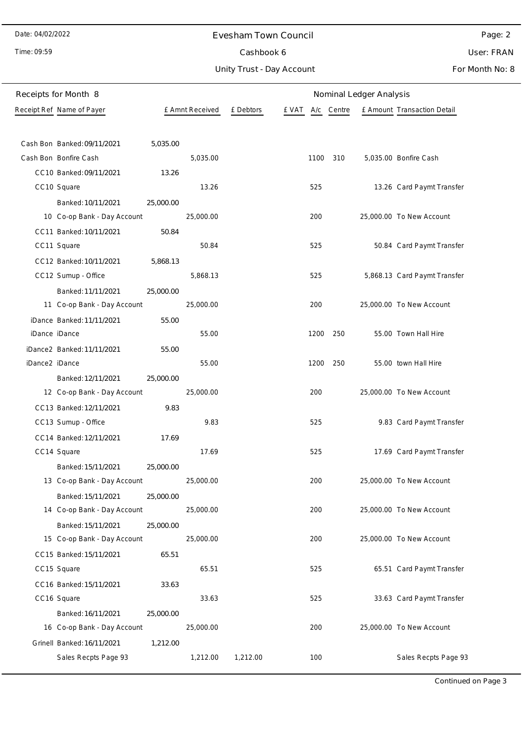Time: 09:59

#### Evesham Town Council

Cashbook 6

Unity Trust - Day Account

User: FRAN

Page: 2

For Month No: 8

|                | Receipts for Month 8        |           |                 |           |                  |     | Nominal Ledger Analysis |                              |
|----------------|-----------------------------|-----------|-----------------|-----------|------------------|-----|-------------------------|------------------------------|
|                | Receipt Ref Name of Payer   |           | £ Amnt Received | £ Debtors | E VAT A/c Centre |     |                         | £ Amount Transaction Detail  |
|                |                             |           |                 |           |                  |     |                         |                              |
|                | Cash Bon Banked: 09/11/2021 | 5,035.00  |                 |           |                  |     |                         |                              |
|                | Cash Bon Bonfire Cash       |           | 5,035.00        |           | 1100 310         |     |                         | 5,035.00 Bonfire Cash        |
|                | CC10 Banked: 09/11/2021     | 13.26     |                 |           |                  |     |                         |                              |
|                | CC10 Square                 |           | 13.26           |           | 525              |     |                         | 13.26 Card Paymt Transfer    |
|                | Banked: 10/11/2021          | 25,000.00 |                 |           |                  |     |                         |                              |
|                | 10 Co-op Bank - Day Account |           | 25,000.00       |           | 200              |     |                         | 25,000.00 To New Account     |
|                | CC11 Banked: 10/11/2021     | 50.84     |                 |           |                  |     |                         |                              |
|                | CC11 Square                 |           | 50.84           |           | 525              |     |                         | 50.84 Card Paymt Transfer    |
|                | CC12 Banked: 10/11/2021     | 5,868.13  |                 |           |                  |     |                         |                              |
|                | CC12 Sumup - Office         |           | 5,868.13        |           | 525              |     |                         | 5,868.13 Card Paymt Transfer |
|                | Banked: 11/11/2021          | 25,000.00 |                 |           |                  |     |                         |                              |
|                | 11 Co-op Bank - Day Account |           | 25,000.00       |           | 200              |     |                         | 25,000.00 To New Account     |
|                | iDance Banked: 11/11/2021   | 55.00     |                 |           |                  |     |                         |                              |
| iDance iDance  |                             |           | 55.00           |           | 1200 250         |     |                         | 55.00 Town Hall Hire         |
|                | iDance2 Banked: 11/11/2021  | 55.00     |                 |           |                  |     |                         |                              |
| iDance2 iDance |                             |           | 55.00           |           | 1200             | 250 |                         | 55.00 town Hall Hire         |
|                | Banked: 12/11/2021          | 25,000.00 |                 |           |                  |     |                         |                              |
|                | 12 Co-op Bank - Day Account |           | 25,000.00       |           | 200              |     |                         | 25,000.00 To New Account     |
|                | CC13 Banked: 12/11/2021     | 9.83      |                 |           |                  |     |                         |                              |
|                | CC13 Sumup - Office         |           | 9.83            |           | 525              |     |                         | 9.83 Card Paymt Transfer     |
|                | CC14 Banked: 12/11/2021     | 17.69     |                 |           |                  |     |                         |                              |
|                | CC14 Square                 |           | 17.69           |           | 525              |     |                         | 17.69 Card Paymt Transfer    |
|                | Banked: 15/11/2021          | 25,000.00 |                 |           |                  |     |                         |                              |
|                | 13 Co-op Bank - Day Account |           | 25,000.00       |           | 200              |     |                         | 25,000.00 To New Account     |
|                | Banked: 15/11/2021          | 25,000.00 |                 |           |                  |     |                         |                              |
|                | 14 Co-op Bank - Day Account |           | 25,000.00       |           | 200              |     |                         | 25,000.00 To New Account     |
|                | Banked: 15/11/2021          | 25,000.00 |                 |           |                  |     |                         |                              |
|                | 15 Co-op Bank - Day Account |           | 25,000.00       |           | 200              |     |                         | 25,000.00 To New Account     |
|                | CC15 Banked: 15/11/2021     | 65.51     |                 |           |                  |     |                         |                              |
|                | CC15 Square                 |           | 65.51           |           | 525              |     |                         | 65.51 Card Paymt Transfer    |
|                | CC16 Banked: 15/11/2021     | 33.63     |                 |           |                  |     |                         |                              |
|                | CC16 Square                 |           | 33.63           |           | 525              |     |                         | 33.63 Card Paymt Transfer    |
|                | Banked: 16/11/2021          | 25,000.00 |                 |           |                  |     |                         |                              |
|                | 16 Co-op Bank - Day Account |           | 25,000.00       |           | 200              |     |                         | 25,000.00 To New Account     |
|                | Grinell Banked: 16/11/2021  | 1,212.00  |                 |           |                  |     |                         |                              |
|                | Sales Recpts Page 93        |           | 1,212.00        | 1,212.00  | 100              |     |                         | Sales Recpts Page 93         |

Continued on Page 3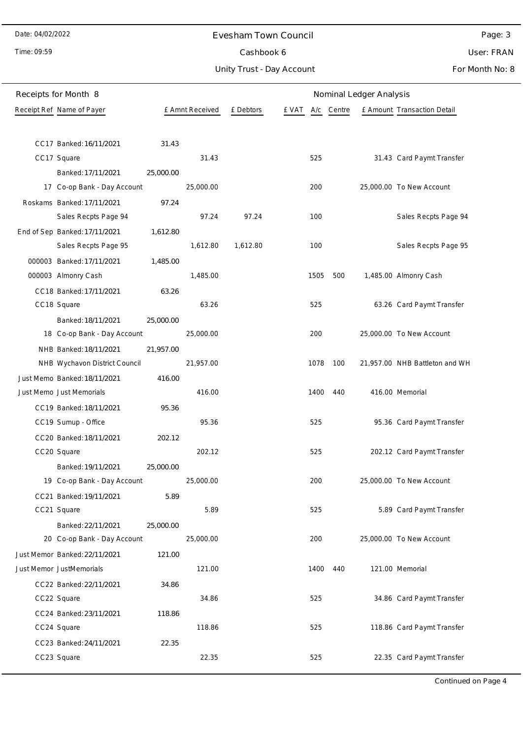Time: 09:59

#### Evesham Town Council

Cashbook 6

Unity Trust - Day Account

Page: 3 User: FRAN

For Month No: 8

| Receipts for Month 8                   |           |                 |           |              | Nominal Ledger Analysis |                                |
|----------------------------------------|-----------|-----------------|-----------|--------------|-------------------------|--------------------------------|
| Receipt Ref Name of Payer              |           | £ Amnt Received | £ Debtors | e vat<br>A/c | Centre                  | £ Amount Transaction Detail    |
|                                        |           |                 |           |              |                         |                                |
| CC17 Banked: 16/11/2021                | 31.43     |                 |           |              |                         |                                |
| CC17 Square                            |           | 31.43           |           | 525          |                         | 31.43 Card Paymt Transfer      |
| Banked: 17/11/2021                     | 25,000.00 |                 |           |              |                         |                                |
| 17 Co-op Bank - Day Account            |           | 25,000.00       |           | 200          |                         | 25,000.00 To New Account       |
| Roskams Banked: 17/11/2021             | 97.24     |                 |           |              |                         |                                |
| Sales Recpts Page 94                   |           | 97.24           | 97.24     | 100          |                         | Sales Recpts Page 94           |
| End of Sep Banked: 17/11/2021          | 1,612.80  |                 |           |              |                         |                                |
| Sales Recpts Page 95                   |           | 1,612.80        | 1,612.80  | 100          |                         | Sales Recpts Page 95           |
| 000003 Banked: 17/11/2021              | 1,485.00  |                 |           |              |                         |                                |
| 000003 Almonry Cash                    |           | 1,485.00        |           | 1505         | 500                     | 1,485.00 Almonry Cash          |
| CC18 Banked: 17/11/2021                | 63.26     |                 |           |              |                         |                                |
| CC18 Square                            |           | 63.26           |           | 525          |                         | 63.26 Card Paymt Transfer      |
| Banked: 18/11/2021                     | 25,000.00 |                 |           |              |                         |                                |
| 18 Co-op Bank - Day Account            |           | 25,000.00       |           | 200          |                         | 25,000.00 To New Account       |
| NHB Banked: 18/11/2021                 | 21,957.00 |                 |           |              |                         |                                |
| NHB Wychavon District Council          |           | 21,957.00       |           | 1078         | 100                     | 21,957.00 NHB Battleton and WH |
| Just Memo Banked: 18/11/2021           | 416.00    |                 |           |              |                         |                                |
| Just Memo Just Memorials               |           | 416.00          |           | 1400         | 440                     | 416.00 Memorial                |
| CC19 Banked: 18/11/2021                | 95.36     |                 |           |              |                         |                                |
| CC19 Sumup - Office                    |           | 95.36           |           | 525          |                         | 95.36 Card Paymt Transfer      |
| CC20 Banked: 18/11/2021                | 202.12    |                 |           |              |                         |                                |
| CC20 Square                            |           | 202.12          |           | 525          |                         | 202.12 Card Paymt Transfer     |
| Banked: 19/11/2021                     | 25,000.00 |                 |           |              |                         |                                |
| 19 Co-op Bank - Day Account            |           | 25,000.00       |           | 200          |                         | 25,000.00 To New Account       |
| CC21 Banked: 19/11/2021                | 5.89      |                 |           |              |                         |                                |
| CC21 Square                            |           | 5.89            |           | 525          |                         | 5.89 Card Paymt Transfer       |
| Banked: 22/11/2021                     | 25,000.00 |                 |           |              |                         |                                |
| 20 Co-op Bank - Day Account            |           | 25,000.00       |           | 200          |                         | 25,000.00 To New Account       |
| Just Memor Banked: 22/11/2021          | 121.00    |                 |           |              |                         |                                |
| Just Memor JustMemorials               |           | 121.00          |           | 1400         | 440                     | 121.00 Memorial                |
| CC22 Banked: 22/11/2021                | 34.86     |                 |           |              |                         |                                |
| CC22 Square                            |           | 34.86           |           | 525          |                         | 34.86 Card Paymt Transfer      |
| CC24 Banked: 23/11/2021<br>CC24 Square | 118.86    | 118.86          |           | 525          |                         | 118.86 Card Paymt Transfer     |
|                                        |           |                 |           |              |                         |                                |
| CC23 Banked: 24/11/2021                | 22.35     | 22.35           |           | 525          |                         |                                |
| CC23 Square                            |           |                 |           |              |                         | 22.35 Card Paymt Transfer      |

Continued on Page 4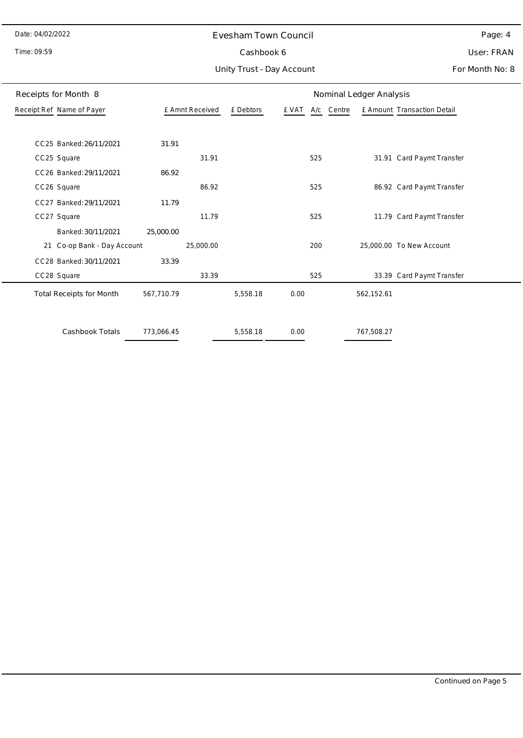#### Time: 09:59

#### Evesham Town Council

Cashbook 6

Unity Trust - Day Account

Page: 4 User: FRAN

| Receipts for Month 8            |            |                 |           |       |            | Nominal Ledger Analysis |                             |
|---------------------------------|------------|-----------------|-----------|-------|------------|-------------------------|-----------------------------|
| Receipt Ref Name of Payer       |            | £ Amnt Received | £ Debtors | £ VAT | A/c Centre |                         | £ Amount Transaction Detail |
|                                 |            |                 |           |       |            |                         |                             |
| CC25 Banked: 26/11/2021         | 31.91      |                 |           |       |            |                         |                             |
| CC25 Square                     |            | 31.91           |           |       | 525        |                         | 31.91 Card Paymt Transfer   |
| CC26 Banked: 29/11/2021         | 86.92      |                 |           |       |            |                         |                             |
| CC26 Square                     |            | 86.92           |           |       | 525        |                         | 86.92 Card Paymt Transfer   |
| CC27 Banked: 29/11/2021         | 11.79      |                 |           |       |            |                         |                             |
| CC27 Square                     |            | 11.79           |           |       | 525        |                         | 11.79 Card Paymt Transfer   |
| Banked: 30/11/2021              | 25,000.00  |                 |           |       |            |                         |                             |
| Co-op Bank - Day Account<br>21  |            | 25,000.00       |           |       | 200        |                         | 25,000.00 To New Account    |
| CC28 Banked: 30/11/2021         | 33.39      |                 |           |       |            |                         |                             |
| CC28 Square                     |            | 33.39           |           |       | 525        |                         | 33.39 Card Paymt Transfer   |
| <b>Total Receipts for Month</b> | 567,710.79 |                 | 5,558.18  | 0.00  |            | 562,152.61              |                             |
| Cashbook Totals                 | 773,066.45 |                 | 5,558.18  | 0.00  |            | 767,508.27              |                             |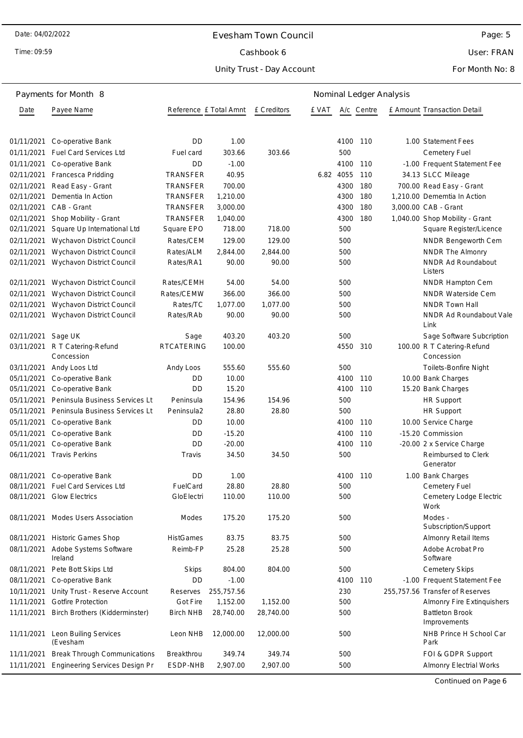Time: 09:59

## Evesham Town Council Cashbook 6

Unity Trust - Day Account

User: FRAN

#### For Month No: 8

|            | Payments for Month 8                |                        |            | Nominal Ledger Analysis |       |           |            |  |                                          |
|------------|-------------------------------------|------------------------|------------|-------------------------|-------|-----------|------------|--|------------------------------------------|
| Date       | Payee Name                          | Reference £ Total Amnt |            | £ Creditors             | e vat |           | A/c Centre |  | £ Amount Transaction Detail              |
|            |                                     |                        |            |                         |       |           |            |  |                                          |
| 01/11/2021 | Co-operative Bank                   | DD                     | 1.00       |                         |       | 4100      | 110        |  | 1.00 Statement Fees                      |
| 01/11/2021 | <b>Fuel Card Services Ltd</b>       | Fuel card              | 303.66     | 303.66                  |       | 500       |            |  | Cemetery Fuel                            |
| 01/11/2021 | Co-operative Bank                   | <b>DD</b>              | $-1.00$    |                         |       | 4100      | 110        |  | -1.00 Frequent Statement Fee             |
| 02/11/2021 | Francesca Pridding                  | TRANSFER               | 40.95      |                         |       | 6.82 4055 | 110        |  | 34.13 SLCC Mileage                       |
| 02/11/2021 | Read Easy - Grant                   | <b>TRANSFER</b>        | 700.00     |                         |       | 4300      | 180        |  | 700.00 Read Easy - Grant                 |
| 02/11/2021 | Dementia In Action                  | TRANSFER               | 1,210.00   |                         |       | 4300      | 180        |  | 1,210.00 Dememtia In Action              |
| 02/11/2021 | CAB - Grant                         | TRANSFER               | 3,000.00   |                         |       | 4300      | 180        |  | 3,000.00 CAB - Grant                     |
| 02/11/2021 | Shop Mobility - Grant               | TRANSFER               | 1,040.00   |                         |       | 4300      | 180        |  | 1,040.00 Shop Mobility - Grant           |
| 02/11/2021 | Square Up International Ltd         | Square EPO             | 718.00     | 718.00                  |       | 500       |            |  | Square Register/Licence                  |
| 02/11/2021 | Wychavon District Council           | Rates/CEM              | 129.00     | 129.00                  |       | 500       |            |  | NNDR Bengeworth Cem                      |
| 02/11/2021 | Wychavon District Council           | Rates/ALM              | 2,844.00   | 2,844.00                |       | 500       |            |  | NNDR The Almonry                         |
| 02/11/2021 | Wychavon District Council           | Rates/RA1              | 90.00      | 90.00                   |       | 500       |            |  | <b>NNDR Ad Roundabout</b><br>Listers     |
| 02/11/2021 | Wychavon District Council           | Rates/CEMH             | 54.00      | 54.00                   |       | 500       |            |  | NNDR Hampton Cem                         |
| 02/11/2021 | Wychavon District Council           | Rates/CEMW             | 366.00     | 366.00                  |       | 500       |            |  | <b>NNDR Waterside Cem</b>                |
| 02/11/2021 | Wychavon District Council           | Rates/TC               | 1,077.00   | 1,077.00                |       | 500       |            |  | <b>NNDR Town Hall</b>                    |
| 02/11/2021 | Wychavon District Council           | Rates/RAb              | 90.00      | 90.00                   |       | 500       |            |  | NNDR Ad Roundabout Vale<br>Link          |
| 02/11/2021 | Sage UK                             | Sage                   | 403.20     | 403.20                  |       | 500       |            |  | Sage Software Subcription                |
| 03/11/2021 | R T Catering-Refund<br>Concession   | <b>RTCATERING</b>      | 100.00     |                         |       | 4550      | 310        |  | 100.00 R T Catering-Refund<br>Concession |
| 03/11/2021 | Andy Loos Ltd                       | Andy Loos              | 555.60     | 555.60                  |       | 500       |            |  | Toilets-Bonfire Night                    |
| 05/11/2021 | Co-operative Bank                   | DD                     | 10.00      |                         |       | 4100      | 110        |  | 10.00 Bank Charges                       |
| 05/11/2021 | Co-operative Bank                   | DD                     | 15.20      |                         |       | 4100      | 110        |  | 15.20 Bank Charges                       |
| 05/11/2021 | Peninsula Business Services Lt      | Peninsula              | 154.96     | 154.96                  |       | 500       |            |  | <b>HR Support</b>                        |
| 05/11/2021 | Peninsula Business Services Lt      | Peninsula2             | 28.80      | 28.80                   |       | 500       |            |  | <b>HR Support</b>                        |
| 05/11/2021 | Co-operative Bank                   | DD                     | 10.00      |                         |       | 4100      | 110        |  | 10.00 Service Charge                     |
| 05/11/2021 | Co-operative Bank                   | DD                     | $-15.20$   |                         |       | 4100      | 110        |  | -15.20 Commission                        |
| 05/11/2021 | Co-operative Bank                   | <b>DD</b>              | $-20.00$   |                         |       | 4100      | 110        |  | -20.00 2 x Service Charge                |
| 06/11/2021 | <b>Travis Perkins</b>               | Travis                 | 34.50      | 34.50                   |       | 500       |            |  | Reimbursed to Clerk<br>Generator         |
| 08/11/2021 | Co-operative Bank                   | <b>DD</b>              | 1.00       |                         |       | 4100 110  |            |  | 1.00 Bank Charges                        |
| 08/11/2021 | Fuel Card Services Ltd              | FuelCard               | 28.80      | 28.80                   |       | 500       |            |  | Cemetery Fuel                            |
| 08/11/2021 | <b>Glow Electrics</b>               | GloElectri             | 110.00     | 110.00                  |       | 500       |            |  | Cemetery Lodge Electric<br>Work          |
| 08/11/2021 | <b>Modes Users Association</b>      | Modes                  | 175.20     | 175.20                  |       | 500       |            |  | Modes -<br>Subscription/Support          |
| 08/11/2021 | <b>Historic Games Shop</b>          | <b>HistGames</b>       | 83.75      | 83.75                   |       | 500       |            |  | <b>Almonry Retail Items</b>              |
| 08/11/2021 | Adobe Systems Software<br>Ireland   | Reimb-FP               | 25.28      | 25.28                   |       | 500       |            |  | Adobe Acrobat Pro<br>Software            |
| 08/11/2021 | Pete Bott Skips Ltd                 | Skips                  | 804.00     | 804.00                  |       | 500       |            |  | <b>Cemetery Skips</b>                    |
| 08/11/2021 | Co-operative Bank                   | DD                     | $-1.00$    |                         |       | 4100      | 110        |  | -1.00 Frequent Statement Fee             |
| 10/11/2021 | Unity Trust - Reserve Account       | Reserves               | 255,757.56 |                         |       | 230       |            |  | 255,757.56 Transfer of Reserves          |
| 11/11/2021 | <b>Gotfire Protection</b>           | Got Fire               | 1,152.00   | 1,152.00                |       | 500       |            |  | Almonry Fire Extinquishers               |
| 11/11/2021 | Birch Brothers (Kidderminster)      | <b>Birch NHB</b>       | 28,740.00  | 28,740.00               |       | 500       |            |  | <b>Battleton Brook</b><br>Improvements   |
| 11/11/2021 | Leon Builing Services<br>(Evesham   | Leon NHB               | 12,000.00  | 12,000.00               |       | 500       |            |  | NHB Prince H School Car<br>Park          |
| 11/11/2021 | <b>Break Through Communications</b> | Breakthrou             | 349.74     | 349.74                  |       | 500       |            |  | FOI & GDPR Support                       |
| 11/11/2021 | Engineering Services Design Pr      | ESDP-NHB               | 2,907.00   | 2,907.00                |       | 500       |            |  | <b>Almonry Electrial Works</b>           |

Continued on Page 6

Page: 5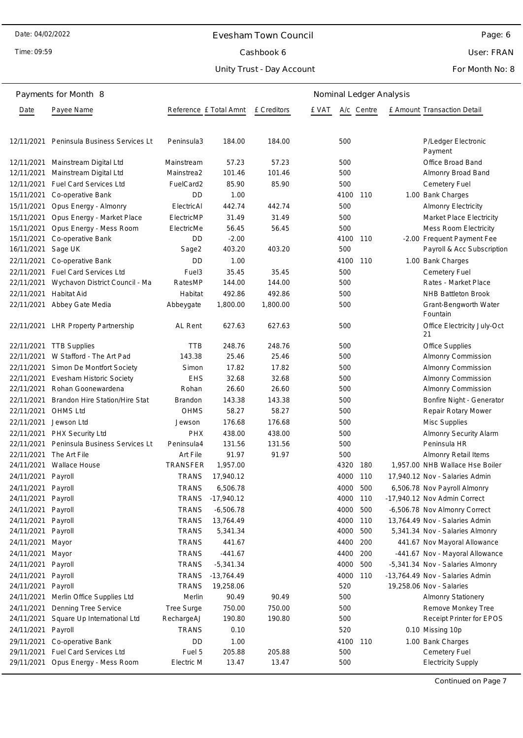Time: 09:59

## Evesham Town Council Cashbook 6

Unity Trust - Day Account

User: FRAN

#### For Month No: 8

|                    | Payments for Month 8                |              |                        |                    |       |      |            | Nominal Ledger Analysis |                                   |
|--------------------|-------------------------------------|--------------|------------------------|--------------------|-------|------|------------|-------------------------|-----------------------------------|
| Date               | Payee Name                          |              | Reference £ Total Amnt | <b>E</b> Creditors | e vat |      | A/c Centre |                         | E Amount Transaction Detail       |
| 12/11/2021         | Peninsula Business Services Lt      | Peninsula3   | 184.00                 | 184.00             |       | 500  |            |                         | P/Ledger Electronic<br>Payment    |
|                    | 12/11/2021 Mainstream Digital Ltd   | Mainstream   | 57.23                  | 57.23              |       | 500  |            |                         | Office Broad Band                 |
| 12/11/2021         | Mainstream Digital Ltd              | Mainstrea2   | 101.46                 | 101.46             |       | 500  |            |                         | Almonry Broad Band                |
| 12/11/2021         | <b>Fuel Card Services Ltd</b>       | FuelCard2    | 85.90                  | 85.90              |       | 500  |            |                         | Cemetery Fuel                     |
| 15/11/2021         | Co-operative Bank                   | DD           | 1.00                   |                    |       | 4100 | 110        |                         | 1.00 Bank Charges                 |
| 15/11/2021         | Opus Energy - Almonry               | ElectricAl   | 442.74                 | 442.74             |       | 500  |            |                         | <b>Almonry Electricity</b>        |
| 15/11/2021         | Opus Energy - Market Place          | ElectricMP   | 31.49                  | 31.49              |       | 500  |            |                         | Market Place Electricity          |
| 15/11/2021         | Opus Energy - Mess Room             | ElectricMe   | 56.45                  | 56.45              |       | 500  |            |                         | Mess Room Electricity             |
| 15/11/2021         | Co-operative Bank                   | DD           | $-2.00$                |                    |       | 4100 | 110        |                         | -2.00 Frequent Payment Fee        |
| 16/11/2021         | Sage UK                             | Sage2        | 403.20                 | 403.20             |       | 500  |            |                         | Payroll & Acc Subscription        |
| 22/11/2021         | Co-operative Bank                   | DD           | 1.00                   |                    |       | 4100 | 110        |                         | 1.00 Bank Charges                 |
| 22/11/2021         | <b>Fuel Card Services Ltd</b>       | Fuel3        | 35.45                  | 35.45              |       | 500  |            |                         | Cemetery Fuel                     |
| 22/11/2021         | Wychavon District Council - Ma      | RatesMP      | 144.00                 | 144.00             |       | 500  |            |                         | Rates - Market Place              |
| 22/11/2021         | <b>Habitat Aid</b>                  | Habitat      | 492.86                 | 492.86             |       | 500  |            |                         | NHB Battleton Brook               |
| 22/11/2021         | Abbey Gate Media                    | Abbeygate    | 1,800.00               | 1,800.00           |       | 500  |            |                         | Grant-Bengworth Water<br>Fountain |
|                    | 22/11/2021 LHR Property Partnership | AL Rent      | 627.63                 | 627.63             |       | 500  |            |                         | Office Electricity July-Oct<br>21 |
|                    | 22/11/2021 TTB Supplies             | <b>TTB</b>   | 248.76                 | 248.76             |       | 500  |            |                         | Office Supplies                   |
|                    | 22/11/2021 W Stafford - The Art Pad | 143.38       | 25.46                  | 25.46              |       | 500  |            |                         | Almonry Commission                |
| 22/11/2021         | Simon De Montfort Society           | Simon        | 17.82                  | 17.82              |       | 500  |            |                         | Almonry Commission                |
| 22/11/2021         | Evesham Historic Society            | <b>EHS</b>   | 32.68                  | 32.68              |       | 500  |            |                         | Almonry Commission                |
| 22/11/2021         | Rohan Goonewardena                  | Rohan        | 26.60                  | 26.60              |       | 500  |            |                         | Almonry Commission                |
| 22/11/2021         | Brandon Hire Station/Hire Stat      | Brandon      | 143.38                 | 143.38             |       | 500  |            |                         | Bonfire Night - Generator         |
| 22/11/2021         | <b>OHMS Ltd</b>                     | <b>OHMS</b>  | 58.27                  | 58.27              |       | 500  |            |                         | Repair Rotary Mower               |
| 22/11/2021         | Jewson Ltd                          | Jewson       | 176.68                 | 176.68             |       | 500  |            |                         | Misc Supplies                     |
| 22/11/2021         | PHX Security Ltd                    | <b>PHX</b>   | 438.00                 | 438.00             |       | 500  |            |                         | <b>Almonry Security Alarm</b>     |
| 22/11/2021         | Peninsula Business Services Lt      | Peninsula4   | 131.56                 | 131.56             |       | 500  |            |                         | Peninsula HR                      |
| 22/11/2021         | The Art File                        | Art File     | 91.97                  | 91.97              |       | 500  |            |                         | Almonry Retail Items              |
| 24/11/2021         | <b>Wallace House</b>                | TRANSFER     | 1,957.00               |                    |       | 4320 | 180        |                         | 1,957.00 NHB Wallace Hse Boiler   |
| 24/11/2021 Payroll |                                     | <b>TRANS</b> | 17,940.12              |                    |       | 4000 | 110        |                         | 17,940.12 Nov - Salaries Admin    |
| 24/11/2021 Payroll |                                     | TRANS        | 6,506.78               |                    |       | 4000 | 500        |                         | 6,506.78 Nov Payroll Almonry      |
| 24/11/2021         | Payroll                             | <b>TRANS</b> | $-17,940.12$           |                    |       | 4000 | 110        |                         | -17,940.12 Nov Admin Correct      |
| 24/11/2021         | Payroll                             | <b>TRANS</b> | $-6,506.78$            |                    |       | 4000 | 500        |                         | -6,506.78 Nov Almonry Correct     |
| 24/11/2021         | Payroll                             | <b>TRANS</b> | 13,764.49              |                    |       | 4000 | 110        |                         | 13,764.49 Nov - Salaries Admin    |
| 24/11/2021         | Payroll                             | <b>TRANS</b> | 5,341.34               |                    |       | 4000 | 500        |                         | 5,341.34 Nov - Salaries Almonry   |
| 24/11/2021         | Mayor                               | <b>TRANS</b> | 441.67                 |                    |       | 4400 | 200        |                         | 441.67 Nov Mayoral Allowance      |
| 24/11/2021         | Mayor                               | <b>TRANS</b> | $-441.67$              |                    |       | 4400 | 200        |                         | -441.67 Nov - Mayoral Allowance   |
| 24/11/2021         | Payroll                             | <b>TRANS</b> | $-5,341.34$            |                    |       | 4000 | 500        |                         | -5,341.34 Nov - Salaries Almonry  |
| 24/11/2021         | Payroll                             | <b>TRANS</b> | $-13,764.49$           |                    |       | 4000 | 110        |                         | -13,764.49 Nov - Salaries Admin   |
| 24/11/2021         | Payroll                             | <b>TRANS</b> | 19,258.06              |                    |       | 520  |            |                         | 19,258.06 Nov - Salaries          |
| 24/11/2021         | Merlin Office Supplies Ltd          | Merlin       | 90.49                  | 90.49              |       | 500  |            |                         | <b>Almonry Stationery</b>         |
| 24/11/2021         | Denning Tree Service                | Tree Surge   | 750.00                 | 750.00             |       | 500  |            |                         | Remove Monkey Tree                |
| 24/11/2021         | Square Up International Ltd         | RechargeAJ   | 190.80                 | 190.80             |       | 500  |            |                         | Receipt Printer for EPOS          |
| 24/11/2021         | Payroll                             | <b>TRANS</b> | 0.10                   |                    |       | 520  |            |                         | 0.10 Missing 10p                  |
| 29/11/2021         | Co-operative Bank                   | DD           | 1.00                   |                    |       | 4100 | 110        |                         | 1.00 Bank Charges                 |
| 29/11/2021         | Fuel Card Services Ltd              | Fuel 5       | 205.88                 | 205.88             |       | 500  |            |                         | Cemetery Fuel                     |
| 29/11/2021         | Opus Energy - Mess Room             | Electric M   | 13.47                  | 13.47              |       | 500  |            |                         | <b>Electricity Supply</b>         |

Continued on Page 7

Page: 6